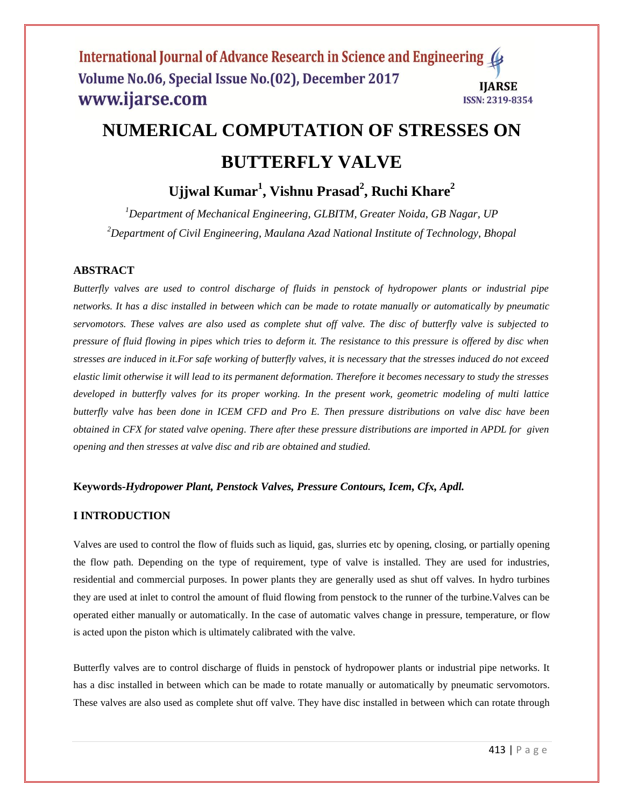#### International Journal of Advance Research in Science and Engineering ( Volume No.06, Special Issue No.(02), December 2017 **IIARSE** www.ijarse.com **ISSN: 2319-8354**

# **NUMERICAL COMPUTATION OF STRESSES ON BUTTERFLY VALVE**

# **Ujjwal Kumar<sup>1</sup> , Vishnu Prasad<sup>2</sup> , Ruchi Khare<sup>2</sup>**

*<sup>1</sup>Department of Mechanical Engineering, GLBITM, Greater Noida, GB Nagar, UP <sup>2</sup>Department of Civil Engineering, Maulana Azad National Institute of Technology, Bhopal*

### **ABSTRACT**

*Butterfly valves are used to control discharge of fluids in penstock of hydropower plants or industrial pipe networks. It has a disc installed in between which can be made to rotate manually or automatically by pneumatic servomotors. These valves are also used as complete shut off valve. The disc of butterfly valve is subjected to pressure of fluid flowing in pipes which tries to deform it. The resistance to this pressure is offered by disc when stresses are induced in it.For safe working of butterfly valves, it is necessary that the stresses induced do not exceed elastic limit otherwise it will lead to its permanent deformation. Therefore it becomes necessary to study the stresses developed in butterfly valves for its proper working. In the present work, geometric modeling of multi lattice butterfly valve has been done in ICEM CFD and Pro E. Then pressure distributions on valve disc have been obtained in CFX for stated valve opening. There after these pressure distributions are imported in APDL for given opening and then stresses at valve disc and rib are obtained and studied.*

#### **Keywords-***Hydropower Plant, Penstock Valves, Pressure Contours, Icem, Cfx, Apdl.*

#### **I INTRODUCTION**

Valves are used to control the flow of fluids such as liquid, gas, slurries etc by opening, closing, or partially opening the flow path. Depending on the type of requirement, type of valve is installed. They are used for industries, residential and commercial purposes. In power plants they are generally used as shut off valves. In hydro turbines they are used at inlet to control the amount of fluid flowing from penstock to the runner of the turbine.Valves can be operated either manually or automatically. In the case of automatic valves change in pressure, temperature, or flow is acted upon the piston which is ultimately calibrated with the valve.

Butterfly valves are to control discharge of fluids in penstock of hydropower plants or industrial pipe networks. It has a disc installed in between which can be made to rotate manually or automatically by pneumatic servomotors. These valves are also used as complete shut off valve. They have disc installed in between which can rotate through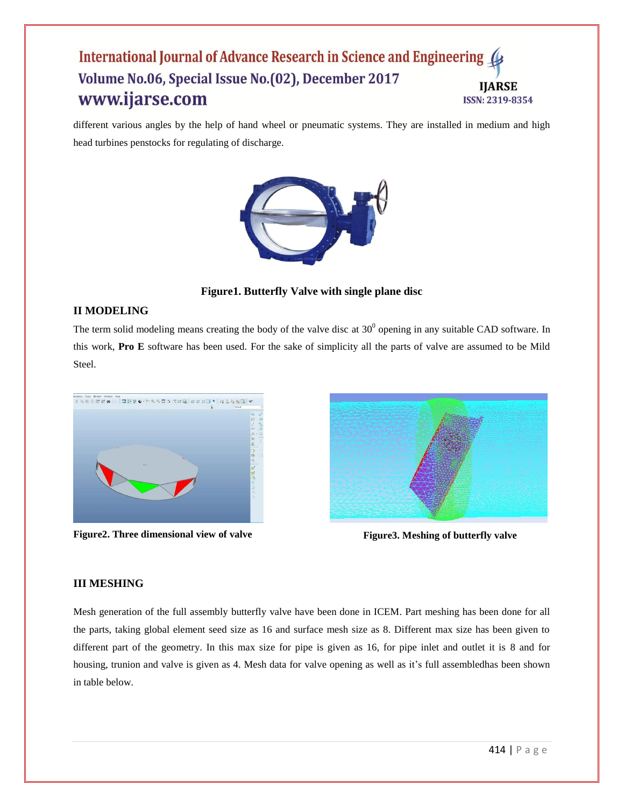#### International Journal of Advance Research in Science and Engineering Volume No.06, Special Issue No.(02), December 2017 **IIARSE** www.ijarse.com **ISSN: 2319-8354**

different various angles by the help of hand wheel or pneumatic systems. They are installed in medium and high head turbines penstocks for regulating of discharge.



**Figure1. Butterfly Valve with single plane disc**

### **II MODELING**

The term solid modeling means creating the body of the valve disc at  $30^0$  opening in any suitable CAD software. In this work, **Pro E** software has been used. For the sake of simplicity all the parts of valve are assumed to be Mild Steel.



**Figure2. Three dimensional view of valve Figure3. Meshing of butterfly valve** 



# **III MESHING**

Mesh generation of the full assembly butterfly valve have been done in ICEM. Part meshing has been done for all the parts, taking global element seed size as 16 and surface mesh size as 8. Different max size has been given to different part of the geometry. In this max size for pipe is given as 16, for pipe inlet and outlet it is 8 and for housing, trunion and valve is given as 4. Mesh data for valve opening as well as it's full assembledhas been shown in table below.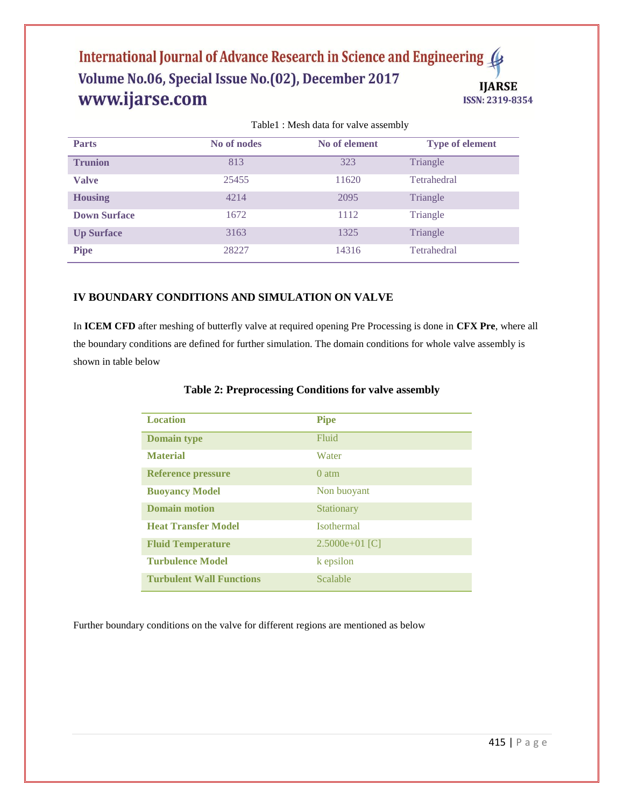#### International Journal of Advance Research in Science and Engineering Volume No.06, Special Issue No.(02), December 2017 **IJARSE** www.ijarse.com ISSN: 2319-8354

| <b>Parts</b>        | No of nodes | No of element | <b>Type of element</b> |
|---------------------|-------------|---------------|------------------------|
| <b>Trunion</b>      | 813         | 323           | Triangle               |
| <b>Valve</b>        | 25455       | 11620         | Tetrahedral            |
| <b>Housing</b>      | 4214        | 2095          | Triangle               |
| <b>Down Surface</b> | 1672        | 1112          | Triangle               |
| <b>Up Surface</b>   | 3163        | 1325          | Triangle               |
| <b>Pipe</b>         | 28227       | 14316         | Tetrahedral            |

Table1 : Mesh data for valve assembly

# **IV BOUNDARY CONDITIONS AND SIMULATION ON VALVE**

In **ICEM CFD** after meshing of butterfly valve at required opening Pre Processing is done in **CFX Pre**, where all the boundary conditions are defined for further simulation. The domain conditions for whole valve assembly is shown in table below

| <b>Location</b>                 | <b>Pipe</b>       |
|---------------------------------|-------------------|
| <b>Domain type</b>              | Fluid             |
| <b>Material</b>                 | Water             |
| <b>Reference pressure</b>       | $0$ atm           |
| <b>Buoyancy Model</b>           | Non buoyant       |
| <b>Domain motion</b>            | Stationary        |
| <b>Heat Transfer Model</b>      | <b>Isothermal</b> |
| <b>Fluid Temperature</b>        | $2.5000e+01$ [C]  |
| <b>Turbulence Model</b>         | k epsilon         |
| <b>Turbulent Wall Functions</b> | Scalable          |

#### **Table 2: Preprocessing Conditions for valve assembly**

Further boundary conditions on the valve for different regions are mentioned as below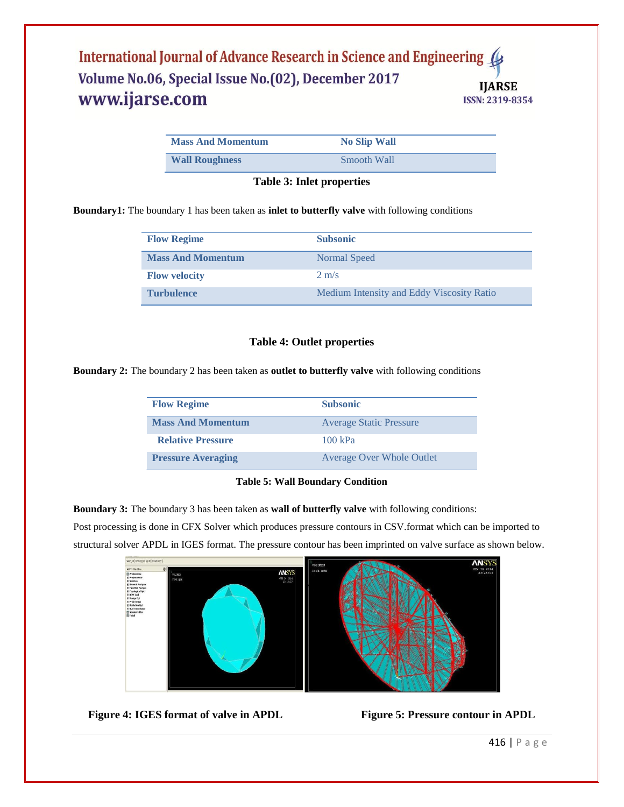#### International Journal of Advance Research in Science and Engineering Volume No.06, Special Issue No.(02), December 2017 **IJARSE** www.ijarse.com ISSN: 2319-8354

| <b>Mass And Momentum</b> | <b>No Slip Wall</b> |
|--------------------------|---------------------|
| <b>Wall Roughness</b>    | Smooth Wall         |

**Table 3: Inlet properties**

**Boundary1:** The boundary 1 has been taken as **inlet to butterfly valve** with following conditions

| <b>Flow Regime</b>       | <b>Subsonic</b>                           |
|--------------------------|-------------------------------------------|
| <b>Mass And Momentum</b> | Normal Speed                              |
| <b>Flow velocity</b>     | $2 \text{ m/s}$                           |
| <b>Turbulence</b>        | Medium Intensity and Eddy Viscosity Ratio |

#### **Table 4: Outlet properties**

**Boundary 2:** The boundary 2 has been taken as **outlet to butterfly valve** with following conditions

| <b>Flow Regime</b>        | <b>Subsonic</b>                  |
|---------------------------|----------------------------------|
| <b>Mass And Momentum</b>  | <b>Average Static Pressure</b>   |
| <b>Relative Pressure</b>  | $100 \text{ kPa}$                |
| <b>Pressure Averaging</b> | <b>Average Over Whole Outlet</b> |

#### **Table 5: Wall Boundary Condition**

**Boundary 3:** The boundary 3 has been taken as **wall of butterfly valve** with following conditions:

Post processing is done in CFX Solver which produces pressure contours in CSV.format which can be imported to structural solver APDL in IGES format. The pressure contour has been imprinted on valve surface as shown below.



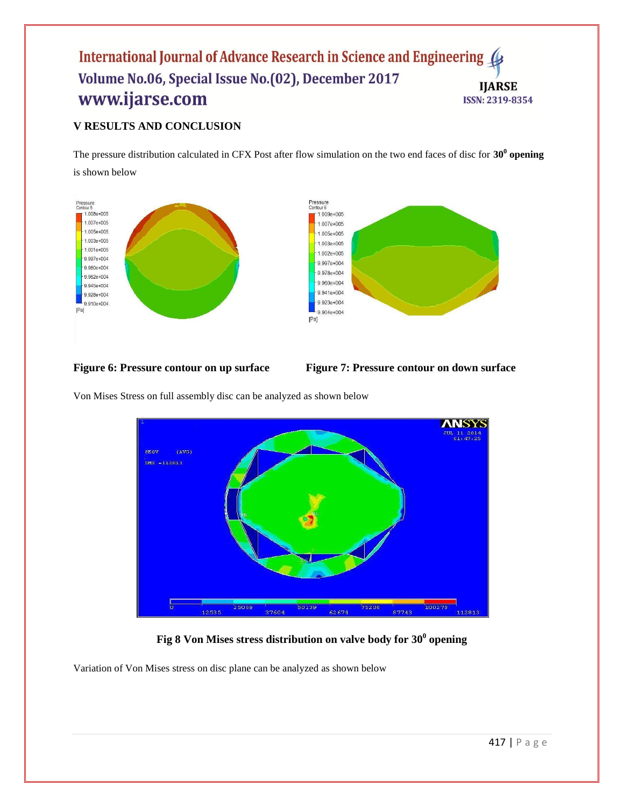#### International Journal of Advance Research in Science and Engineering Volume No.06, Special Issue No.(02), December 2017 **IJARSE** www.ijarse.com ISSN: 2319-8354

# **V RESULTS AND CONCLUSION**

The pressure distribution calculated in CFX Post after flow simulation on the two end faces of disc for **30<sup>0</sup> opening** is shown below





Von Mises Stress on full assembly disc can be analyzed as shown below



**Fig 8 Von Mises stress distribution on valve body for 30<sup>0</sup> opening**

Variation of Von Mises stress on disc plane can be analyzed as shown below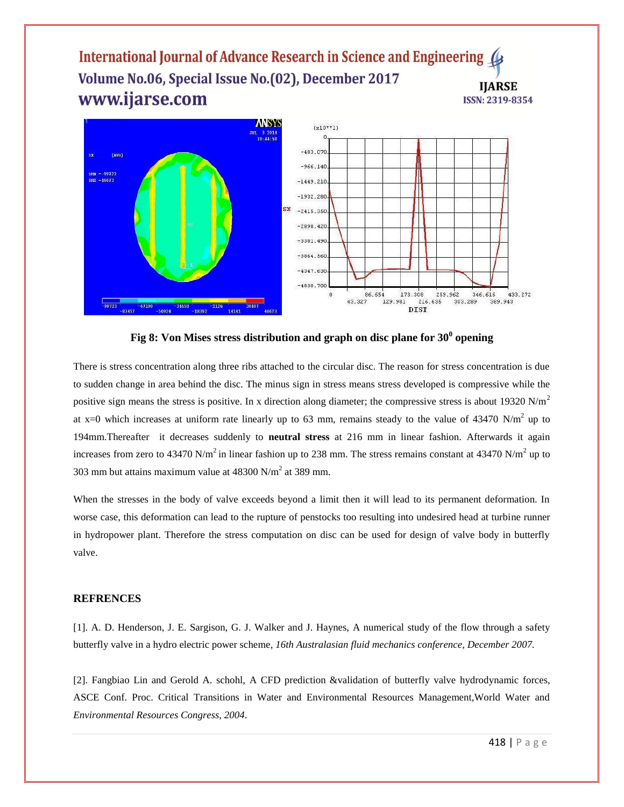#### International Journal of Advance Research in Science and Engineering ( Volume No.06, Special Issue No.(02), December 2017 **IIARSE** www.ijarse.com ISSN: 2319-8354



**Fig 8: Von Mises stress distribution and graph on disc plane for 30<sup>0</sup> opening**

There is stress concentration along three ribs attached to the circular disc. The reason for stress concentration is due to sudden change in area behind the disc. The minus sign in stress means stress developed is compressive while the positive sign means the stress is positive. In x direction along diameter; the compressive stress is about 19320 N/m<sup>2</sup> at x=0 which increases at uniform rate linearly up to 63 mm, remains steady to the value of 43470 N/m<sup>2</sup> up to 194mm.Thereafter it decreases suddenly to **neutral stress** at 216 mm in linear fashion. Afterwards it again increases from zero to 43470 N/m<sup>2</sup> in linear fashion up to 238 mm. The stress remains constant at 43470 N/m<sup>2</sup> up to 303 mm but attains maximum value at  $48300$  N/m<sup>2</sup> at 389 mm.

When the stresses in the body of valve exceeds beyond a limit then it will lead to its permanent deformation. In worse case, this deformation can lead to the rupture of penstocks too resulting into undesired head at turbine runner in hydropower plant. Therefore the stress computation on disc can be used for design of valve body in butterfly valve.

#### **REFRENCES**

[1]. A. D. Henderson, J. E. Sargison, G. J. Walker and J. Haynes, A numerical study of the flow through a safety butterfly valve in a hydro electric power scheme, *16th Australasian fluid mechanics conference, December 2007.*

[2]. Fangbiao Lin and Gerold A. schohl, A CFD prediction &validation of butterfly valve hydrodynamic forces, ASCE Conf. Proc. Critical Transitions in Water and Environmental Resources Management,World Water and *Environmental Resources Congress, 2004.*